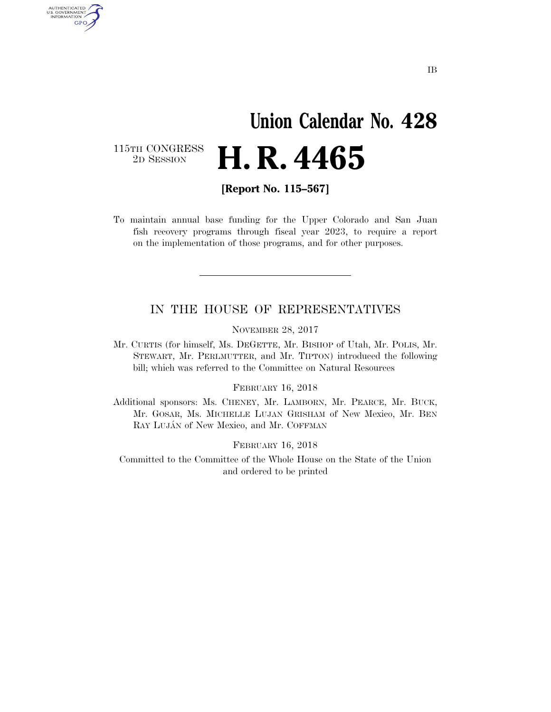# **Union Calendar No. 428**  2D SESSION **H. R. 4465**

115TH CONGRESS<br>2D SESSION

AUTHENTICATED<br>U.S. GOVERNMENT<br>INFORMATION GPO

**[Report No. 115–567]** 

To maintain annual base funding for the Upper Colorado and San Juan fish recovery programs through fiscal year 2023, to require a report on the implementation of those programs, and for other purposes.

### IN THE HOUSE OF REPRESENTATIVES

NOVEMBER 28, 2017

Mr. CURTIS (for himself, Ms. DEGETTE, Mr. BISHOP of Utah, Mr. POLIS, Mr. STEWART, Mr. PERLMUTTER, and Mr. TIPTON) introduced the following bill; which was referred to the Committee on Natural Resources

#### FEBRUARY 16, 2018

Additional sponsors: Ms. CHENEY, Mr. LAMBORN, Mr. PEARCE, Mr. BUCK, Mr. GOSAR, Ms. MICHELLE LUJAN GRISHAM of New Mexico, Mr. BEN RAY LUJÁN of New Mexico, and Mr. COFFMAN

#### FEBRUARY 16, 2018

Committed to the Committee of the Whole House on the State of the Union and ordered to be printed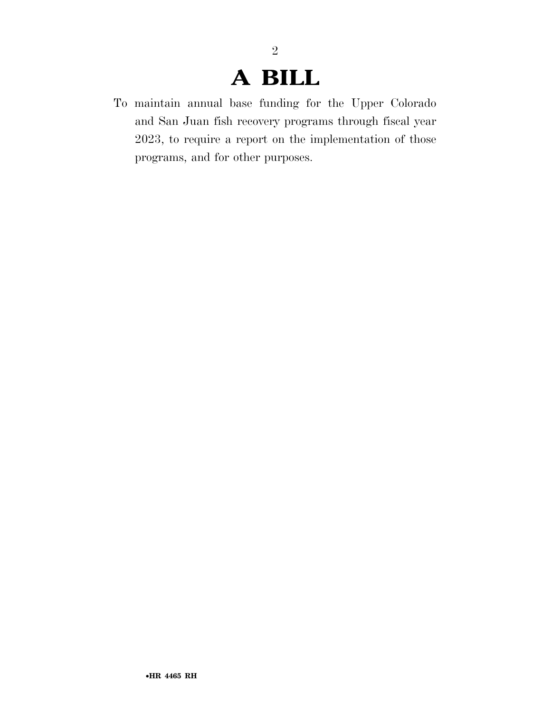### **A BILL**

To maintain annual base funding for the Upper Colorado and San Juan fish recovery programs through fiscal year 2023, to require a report on the implementation of those programs, and for other purposes.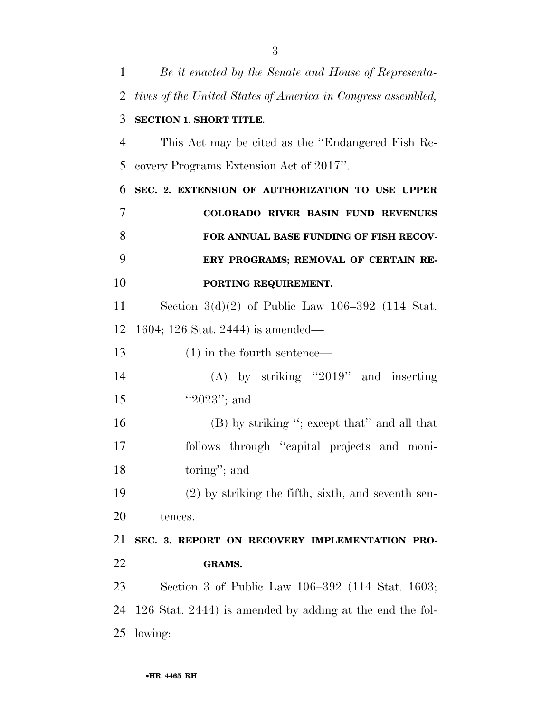| $\mathbf{1}$   | Be it enacted by the Senate and House of Representa-         |
|----------------|--------------------------------------------------------------|
| 2              | tives of the United States of America in Congress assembled, |
| 3              | <b>SECTION 1. SHORT TITLE.</b>                               |
| 4              | This Act may be cited as the "Endangered Fish Re-            |
| 5              | covery Programs Extension Act of 2017".                      |
| 6              | SEC. 2. EXTENSION OF AUTHORIZATION TO USE UPPER              |
| $\overline{7}$ | COLORADO RIVER BASIN FUND REVENUES                           |
| 8              | FOR ANNUAL BASE FUNDING OF FISH RECOV-                       |
| 9              | ERY PROGRAMS; REMOVAL OF CERTAIN RE-                         |
| 10             | PORTING REQUIREMENT.                                         |
| 11             | Section $3(d)(2)$ of Public Law 106-392 (114 Stat.           |
| 12             | 1604; 126 Stat. 2444) is amended—                            |
| 13             | $(1)$ in the fourth sentence—                                |
| 14             | $(A)$ by striking "2019" and inserting                       |
| 15             | " $2023$ "; and                                              |
| 16             | (B) by striking "; except that" and all that                 |
| 17             | follows through "capital projects and moni-                  |
| 18             | toring"; and                                                 |
| 19             | $(2)$ by striking the fifth, sixth, and seventh sen-         |
| 20             | tences.                                                      |
| 21             | SEC. 3. REPORT ON RECOVERY IMPLEMENTATION PRO-               |
| 22             | <b>GRAMS.</b>                                                |
| 23             | Section 3 of Public Law 106–392 (114 Stat. 1603;             |
| 24             | 126 Stat. 2444) is amended by adding at the end the fol-     |
| 25             | lowing:                                                      |
|                |                                                              |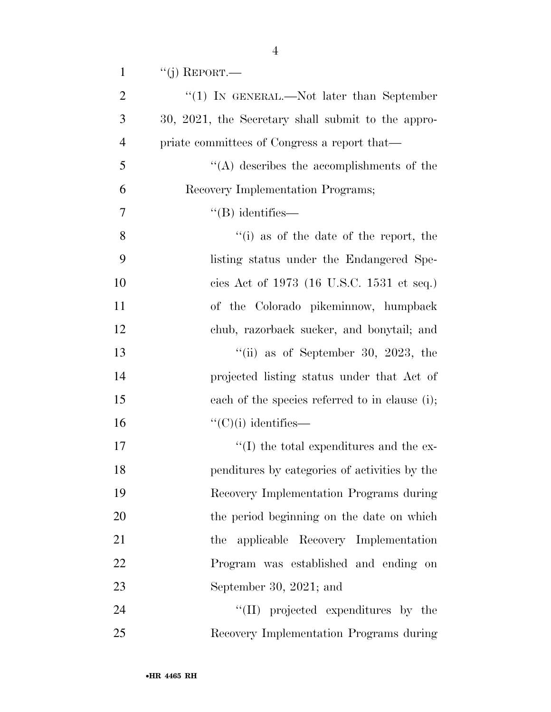| $\mathbf{1}$   | $``(j)$ REPORT.—                                   |
|----------------|----------------------------------------------------|
| $\overline{2}$ | "(1) IN GENERAL.—Not later than September          |
| 3              | 30, 2021, the Secretary shall submit to the appro- |
| $\overline{4}$ | priate committees of Congress a report that—       |
| 5              | $\lq\lq$ describes the accomplishments of the      |
| 6              | Recovery Implementation Programs;                  |
| 7              | $\lq$ (B) identifies—                              |
| 8              | $f'(i)$ as of the date of the report, the          |
| 9              | listing status under the Endangered Spe-           |
| 10             | cies Act of 1973 (16 U.S.C. 1531 et seq.)          |
| 11             | of the Colorado pikeminnow, humpback               |
| 12             | chub, razorback sucker, and bonytail; and          |
| 13             | "(ii) as of September 30, 2023, the                |
| 14             | projected listing status under that Act of         |
| 15             | each of the species referred to in clause (i);     |
| 16             | $\lq\lq$ <sup>"</sup> (C)(i) identifies—           |
| 17             | $\lq\lq$ the total expenditures and the ex-        |
| 18             | penditures by categories of activities by the      |
| 19             | Recovery Implementation Programs during            |
| 20             | the period beginning on the date on which          |
| 21             | applicable Recovery Implementation<br>the          |
| 22             | Program was established and ending on              |
| 23             | September 30, 2021; and                            |
| 24             | "(II) projected expenditures by the                |
| 25             | Recovery Implementation Programs during            |

•**HR 4465 RH**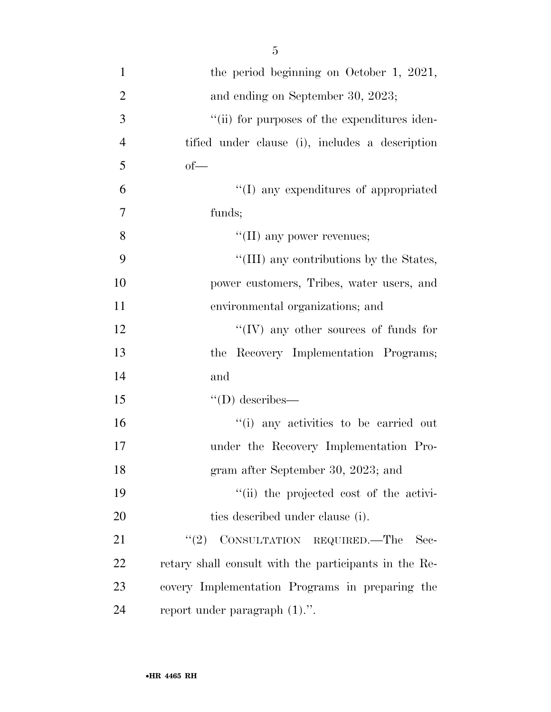| $\mathbf{1}$   | the period beginning on October 1, 2021,              |
|----------------|-------------------------------------------------------|
| $\overline{2}$ | and ending on September 30, 2023;                     |
| 3              | "(ii) for purposes of the expenditures iden-          |
| $\overline{4}$ | tified under clause (i), includes a description       |
| 5              | $of$ —                                                |
| 6              | "(I) any expenditures of appropriated                 |
| $\overline{7}$ | funds;                                                |
| 8              | "(II) any power revenues;                             |
| 9              | "(III) any contributions by the States,               |
| 10             | power customers, Tribes, water users, and             |
| 11             | environmental organizations; and                      |
| 12             | "(IV) any other sources of funds for                  |
| 13             | the Recovery Implementation Programs;                 |
| 14             | and                                                   |
| 15             | $\lq\lq$ (D) describes—                               |
| 16             | "(i) any activities to be carried out                 |
| 17             | under the Recovery Implementation Pro-                |
| 18             | gram after September 30, 2023; and                    |
| 19             | "(ii) the projected cost of the activi-               |
| <b>20</b>      | ties described under clause (i).                      |
| 21             | "(2) CONSULTATION REQUIRED.—The<br>Sec-               |
| 22             | retary shall consult with the participants in the Re- |
| 23             | covery Implementation Programs in preparing the       |
| 24             | report under paragraph $(1)$ .".                      |